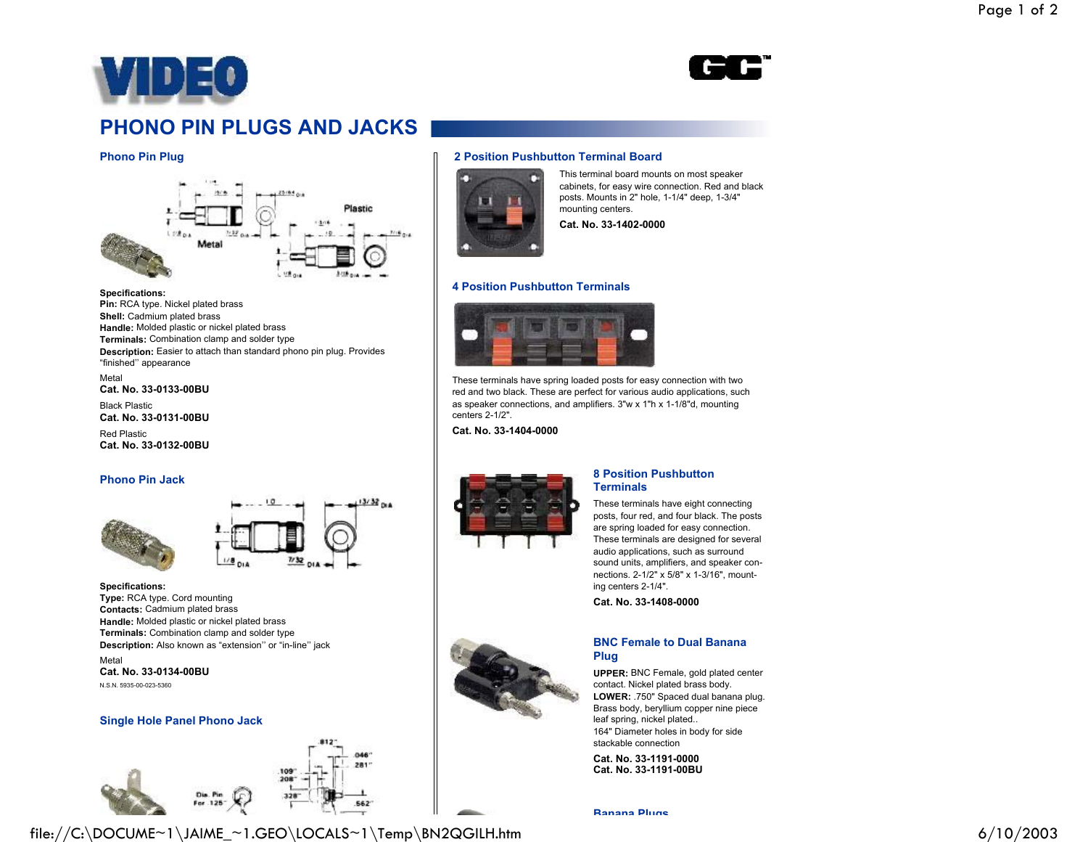



# **PHONO PIN PLUGS AND JACKS**

### **Phono Pin Plug**



#### **Specifications:**

**Pin:** RCA type. Nickel plated brass **Shell:** Cadmium plated brass **Handle:** Molded plastic or nickel plated brass **Terminals:** Combination clamp and solder type **Description:** Easier to attach than standard phono pin plug. Provides "finished'' appearance

Metal**Cat. No. 33-0133-00BU**

Black Plastic**Cat. No. 33-0131-00BU**

Red Plastic**Cat. No. 33-0132-00BU**

#### **Phono Pin Jack**



**Specifications: Type:** RCA type. Cord mounting **Contacts:** Cadmium plated brass **Handle:** Molded plastic or nickel plated brass **Terminals:** Combination clamp and solder type **Description:** Also known as "extension'' or "in-line'' jack

Metal**Cat. No. 33-0134-00BU**N.S.N. 5935-00-023-5360

#### **Single Hole Panel Phono Jack**





## **2 Position Pushbutton Terminal Board**



This terminal board mounts on most speaker cabinets, for easy wire connection. Red and black posts. Mounts in 2" hole, 1-1/4" deep, 1-3/4" mounting centers. **Cat. No. 33-1402-0000**

#### **4 Position Pushbutton Terminals**



These terminals have spring loaded posts for easy connection with two red and two black. These are perfect for various audio applications, such as speaker connections, and amplifiers. 3"w x 1"h x 1-1/8"d, mounting centers 2-1/2".

**Cat. No. 33-1404-0000**



#### **8 Position PushbuttonTerminals**

These terminals have eight connecting posts, four red, and four black. The posts are spring loaded for easy connection. These terminals are designed for several audio applications, such as surround sound units, amplifiers, and speaker connections. 2-1/2" x 5/8" x 1-3/16", mounting centers 2-1/4".

**Cat. No. 33-1408-0000**



#### **BNC Female to Dual BananaPlug**

**UPPER:** BNC Female, gold plated center contact. Nickel plated brass body. **LOWER:** .750" Spaced dual banana plug. Brass body, beryllium copper nine piece leaf spring, nickel plated.. 164" Diameter holes in body for side stackable connection

**Cat. No. 33-1191-0000Cat. No. 33-1191-00BU**

**Banana Plugs**

file://C:\DOCUME~1\JAIME\_~1.GEO\LOCALS~1\Temp\BN2QGILH.htm 6/10/2003